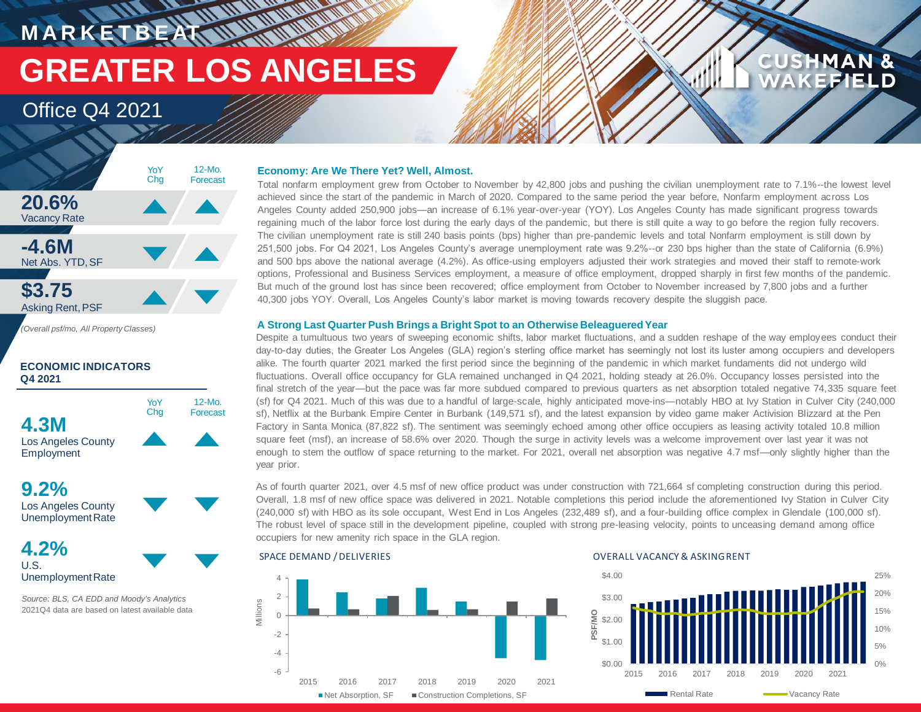**MARKETBEATTMENT GREATER LOS ANGELES**

### Office Q4 2021



*(Overall psf/mo, All Property Classes)*

### **ECONOMIC INDICATORS Q4 2021**



**9.2%** Los Angeles County

UnemploymentRate **4.2%**

### U.S. UnemploymentRate

*Source: BLS, CA EDD and Moody's Analytics* 2021Q4 data are based on latest available data

### **Economy: Are We There Yet? Well, Almost.**

Total nonfarm employment grew from October to November by 42,800 jobs and pushing the civilian unemployment rate to 7.1%--the lowest level achieved since the start of the pandemic in March of 2020. Compared to the same period the year before, Nonfarm employment across Los Angeles County added 250,900 jobs—an increase of 6.1% year-over-year (YOY). Los Angeles County has made significant progress towards regaining much of the labor force lost during the early days of the pandemic, but there is still quite a way to go before the region fully recovers. The civilian unemployment rate is still 240 basis points (bps) higher than pre-pandemic levels and total Nonfarm employment is still down by 251,500 jobs. For Q4 2021, Los Angeles County's average unemployment rate was 9.2%--or 230 bps higher than the state of California (6.9%) and 500 bps above the national average (4.2%). As office-using employers adjusted their work strategies and moved their staff to remote-work options, Professional and Business Services employment, a measure of office employment, dropped sharply in first few months of the pandemic. But much of the ground lost has since been recovered; office employment from October to November increased by 7,800 jobs and a further 40,300 jobs YOY. Overall, Los Angeles County's labor market is moving towards recovery despite the sluggish pace.

### **A Strong Last Quarter Push Brings a Bright Spot to an Otherwise Beleaguered Year**

Despite a tumultuous two years of sweeping economic shifts, labor market fluctuations, and a sudden reshape of the way employees conduct their day-to-day duties, the Greater Los Angeles (GLA) region's sterling office market has seemingly not lost its luster among occupiers and developers alike. The fourth quarter 2021 marked the first period since the beginning of the pandemic in which market fundaments did not undergo wild fluctuations. Overall office occupancy for GLA remained unchanged in Q4 2021, holding steady at 26.0%. Occupancy losses persisted into the final stretch of the year—but the pace was far more subdued compared to previous quarters as net absorption totaled negative 74,335 square feet (sf) for Q4 2021. Much of this was due to a handful of large-scale, highly anticipated move-ins—notably HBO at Ivy Station in Culver City (240,000 sf), Netflix at the Burbank Empire Center in Burbank (149,571 sf), and the latest expansion by video game maker Activision Blizzard at the Pen Factory in Santa Monica (87,822 sf). The sentiment was seemingly echoed among other office occupiers as leasing activity totaled 10.8 million square feet (msf), an increase of 58.6% over 2020. Though the surge in activity levels was a welcome improvement over last year it was not enough to stem the outflow of space returning to the market. For 2021, overall net absorption was negative 4.7 msf—only slightly higher than the year prior.

As of fourth quarter 2021, over 4.5 msf of new office product was under construction with 721,664 sf completing construction during this period. Overall, 1.8 msf of new office space was delivered in 2021. Notable completions this period include the aforementioned Ivy Station in Culver City (240,000 sf) with HBO as its sole occupant, West End in Los Angeles (232,489 sf), and a four-building office complex in Glendale (100,000 sf). The robust level of space still in the development pipeline, coupled with strong pre-leasing velocity, points to unceasing demand among office occupiers for new amenity rich space in the GLA region.





**CUSHMAN &** 

**EFIELD**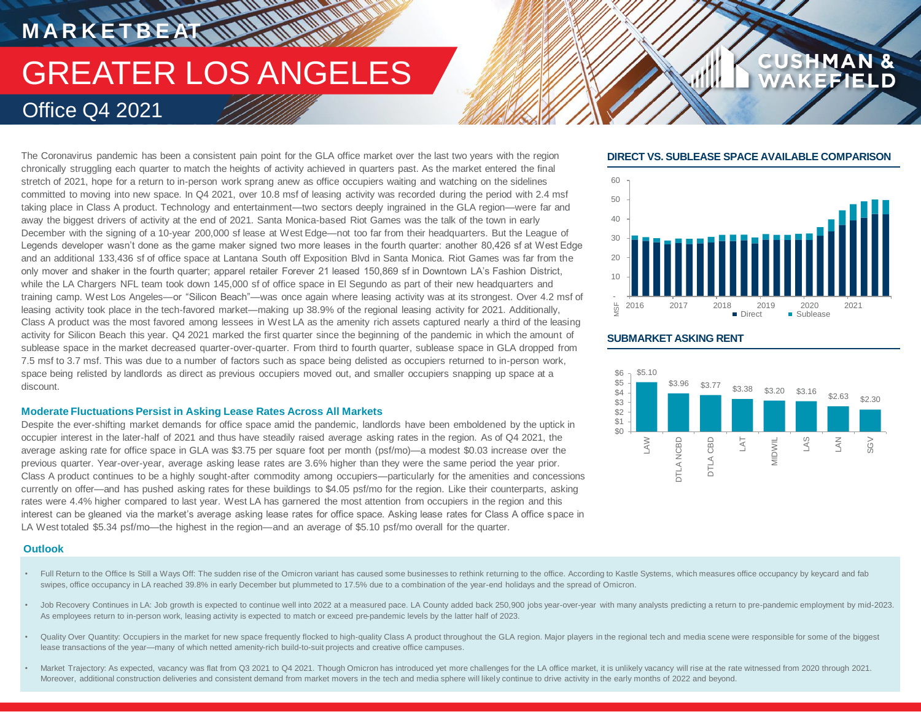# **MARKETBEAT IN WAITING** GREATER LOS ANGELES Office Q4 2021

The Coronavirus pandemic has been a consistent pain point for the GLA office market over the last two years with the region chronically struggling each quarter to match the heights of activity achieved in quarters past. As the market entered the final stretch of 2021, hope for a return to in-person work sprang anew as office occupiers waiting and watching on the sidelines committed to moving into new space. In Q4 2021, over 10.8 msf of leasing activity was recorded during the period with 2.4 msf taking place in Class A product. Technology and entertainment—two sectors deeply ingrained in the GLA region—were far and away the biggest drivers of activity at the end of 2021. Santa Monica-based Riot Games was the talk of the town in early December with the signing of a 10-year 200,000 sf lease at West Edge—not too far from their headquarters. But the League of Legends developer wasn't done as the game maker signed two more leases in the fourth quarter: another 80.426 sf at West Edge and an additional 133,436 sf of office space at Lantana South off Exposition Blvd in Santa Monica. Riot Games was far from the only mover and shaker in the fourth quarter; apparel retailer Forever 21 leased 150,869 sf in Downtown LA's Fashion District, while the LA Chargers NFL team took down 145,000 sf of office space in El Segundo as part of their new headquarters and training camp. West Los Angeles—or "Silicon Beach"—was once again where leasing activity was at its strongest. Over 4.2 msf of leasing activity took place in the tech-favored market—making up 38.9% of the regional leasing activity for 2021. Additionally, Class A product was the most favored among lessees in West LA as the amenity rich assets captured nearly a third of the leasing activity for Silicon Beach this year. Q4 2021 marked the first quarter since the beginning of the pandemic in which the amount of sublease space in the market decreased quarter-over-quarter. From third to fourth quarter, sublease space in GLA dropped from 7.5 msf to 3.7 msf. This was due to a number of factors such as space being delisted as occupiers returned to in-person work, space being relisted by landlords as direct as previous occupiers moved out, and smaller occupiers snapping up space at a discount.

### **Moderate Fluctuations Persist in Asking Lease Rates Across All Markets**

Despite the ever-shifting market demands for office space amid the pandemic, landlords have been emboldened by the uptick in occupier interest in the later-half of 2021 and thus have steadily raised average asking rates in the region. As of Q4 2021, the average asking rate for office space in GLA was \$3.75 per square foot per month (psf/mo)—a modest \$0.03 increase over the previous quarter. Year-over-year, average asking lease rates are 3.6% higher than they were the same period the year prior. Class A product continues to be a highly sought-after commodity among occupiers—particularly for the amenities and concessions currently on offer—and has pushed asking rates for these buildings to \$4.05 psf/mo for the region. Like their counterparts, asking rates were 4.4% higher compared to last year. West LA has garnered the most attention from occupiers in the region and this interest can be gleaned via the market's average asking lease rates for office space. Asking lease rates for Class A office space in LA West totaled \$5.34 psf/mo—the highest in the region—and an average of \$5.10 psf/mo overall for the quarter.

### **Outlook**

- Full Return to the Office Is Still a Ways Off: The sudden rise of the Omicron variant has caused some businesses to rethink returning to the office. According to Kastle Systems, which measures office occupancy by keycard a swipes, office occupancy in LA reached 39.8% in early December but plummeted to 17.5% due to a combination of the year-end holidays and the spread of Omicron.
- Job Recovery Continues in LA: Job growth is expected to continue well into 2022 at a measured pace. LA County added back 250,900 jobs year-over-year with many analysts predicting a return to pre-pandemic employment by mid-As employees return to in-person work, leasing activity is expected to match or exceed pre-pandemic levels by the latter half of 2023.
- Quality Over Quantity: Occupiers in the market for new space frequently flocked to high-quality Class A product throughout the GLA region. Major players in the regional tech and media scene were responsible for some of the lease transactions of the year—many of which netted amenity-rich build-to-suit projects and creative office campuses.
- Market Trajectory: As expected, vacancy was flat from Q3 2021 to Q4 2021. Though Omicron has introduced yet more challenges for the LA office market, it is unlikely vacancy will rise at the rate witnessed from 2020 through Moreover, additional construction deliveries and consistent demand from market movers in the tech and media sphere will likely continue to drive activity in the early months of 2022 and beyond.

### **DIRECT VS. SUBLEASE SPACE AVAILABLE COMPARISON**

**CUSHMAN &** 



### **SUBMARKET ASKING RENT**

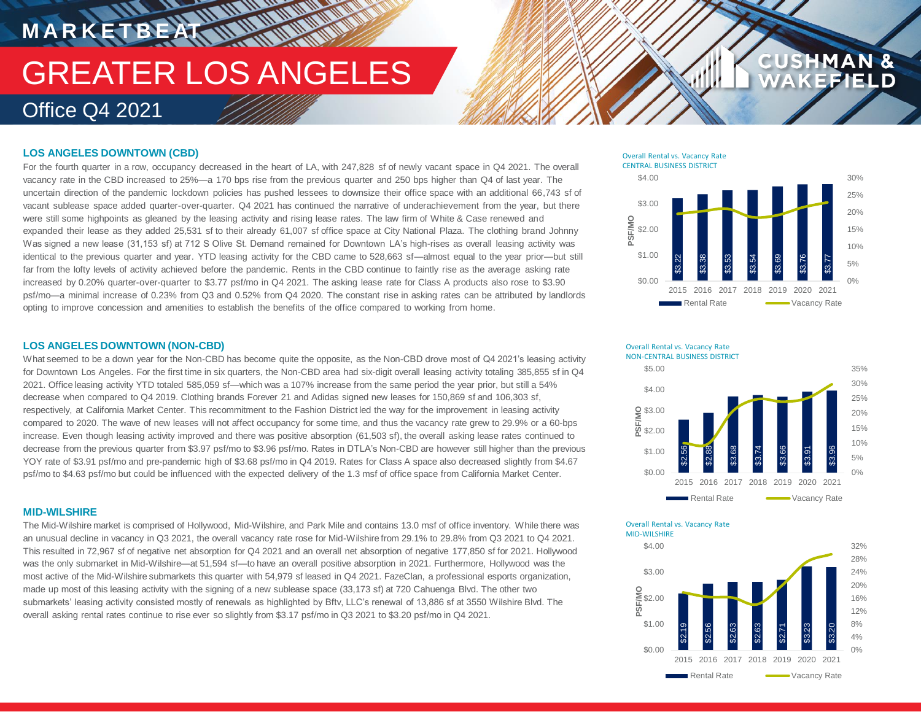### **LOS ANGELES DOWNTOWN (CBD)**

**M A R K E T B E AT**

For the fourth quarter in a row, occupancy decreased in the heart of LA, with 247,828 sf of newly vacant space in Q4 2021. The overall vacancy rate in the CBD increased to 25%—a 170 bps rise from the previous quarter and 250 bps higher than Q4 of last year. The uncertain direction of the pandemic lockdown policies has pushed lessees to downsize their office space with an additional 66,743 sf of vacant sublease space added quarter-over-quarter. Q4 2021 has continued the narrative of underachievement from the year, but there were still some highpoints as gleaned by the leasing activity and rising lease rates. The law firm of White & Case renewed and expanded their lease as they added 25,531 sf to their already 61,007 sf office space at City National Plaza. The clothing brand Johnny Was signed a new lease (31,153 sf) at 712 S Olive St. Demand remained for Downtown LA's high-rises as overall leasing activity was identical to the previous quarter and year. YTD leasing activity for the CBD came to 528,663 sf—almost equal to the year prior—but still far from the lofty levels of activity achieved before the pandemic. Rents in the CBD continue to faintly rise as the average asking rate increased by 0.20% quarter-over-quarter to \$3.77 psf/mo in Q4 2021. The asking lease rate for Class A products also rose to \$3.90 psf/mo—a minimal increase of 0.23% from Q3 and 0.52% from Q4 2020. The constant rise in asking rates can be attributed by landlords opting to improve concession and amenities to establish the benefits of the office compared to working from home.

**HANNING MARK** 

#### Overall Rental vs. Vacancy Rate CENTRAL BUSINESS DISTRICT



**CUS** 

### **LOS ANGELES DOWNTOWN (NON-CBD)**

What seemed to be a down year for the Non-CBD has become quite the opposite, as the Non-CBD drove most of Q4 2021's leasing activity for Downtown Los Angeles. For the first time in six quarters, the Non-CBD area had six-digit overall leasing activity totaling 385,855 sf in Q4 2021. Office leasing activity YTD totaled 585,059 sf—which was a 107% increase from the same period the year prior, but still a 54% decrease when compared to Q4 2019. Clothing brands Forever 21 and Adidas signed new leases for 150,869 sf and 106,303 sf, respectively, at California Market Center. This recommitment to the Fashion District led the way for the improvement in leasing activity compared to 2020. The wave of new leases will not affect occupancy for some time, and thus the vacancy rate grew to 29.9% or a 60-bps increase. Even though leasing activity improved and there was positive absorption (61,503 sf), the overall asking lease rates continued to decrease from the previous quarter from \$3.97 psf/mo to \$3.96 psf/mo. Rates in DTLA's Non-CBD are however still higher than the previous YOY rate of \$3.91 psf/mo and pre-pandemic high of \$3.68 psf/mo in Q4 2019. Rates for Class A space also decreased slightly from \$4.67 psf/mo to \$4.63 psf/mo but could be influenced with the expected delivery of the 1.3 msf of office space from California Market Center.

### **MID-WILSHIRE**

The Mid-Wilshire market is comprised of Hollywood, Mid-Wilshire, and Park Mile and contains 13.0 msf of office inventory. While there was an unusual decline in vacancy in Q3 2021, the overall vacancy rate rose for Mid-Wilshire from 29.1% to 29.8% from Q3 2021 to Q4 2021. This resulted in 72,967 sf of negative net absorption for Q4 2021 and an overall net absorption of negative 177,850 sf for 2021. Hollywood was the only submarket in Mid-Wilshire—at 51,594 sf—to have an overall positive absorption in 2021. Furthermore, Hollywood was the most active of the Mid-Wilshire submarkets this quarter with 54,979 sf leased in Q4 2021. FazeClan, a professional esports organization, made up most of this leasing activity with the signing of a new sublease space (33,173 sf) at 720 Cahuenga Blvd. The other two submarkets' leasing activity consisted mostly of renewals as highlighted by Bftv, LLC's renewal of 13,886 sf at 3550 Wilshire Blvd. The overall asking rental rates continue to rise ever so slightly from \$3.17 psf/mo in Q3 2021 to \$3.20 psf/mo in Q4 2021.



Overall Rental vs. Vacancy Rate MID-WILSHIRE

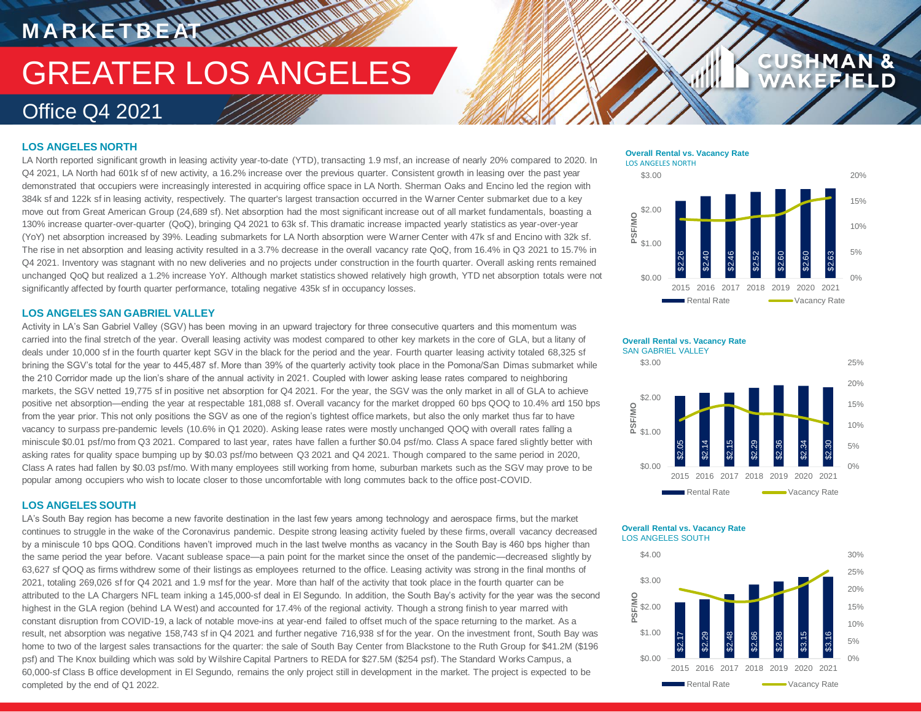**THE ALL AND THE REAL** 

### **LOS ANGELES NORTH**

**M A R K E T B E AT**

LA North reported significant growth in leasing activity year-to-date (YTD), transacting 1.9 msf, an increase of nearly 20% compared to 2020. In Q4 2021, LA North had 601k sf of new activity, a 16.2% increase over the previous quarter. Consistent growth in leasing over the past year demonstrated that occupiers were increasingly interested in acquiring office space in LA North. Sherman Oaks and Encino led the region with 384k sf and 122k sf in leasing activity, respectively. The quarter's largest transaction occurred in the Warner Center submarket due to a key move out from Great American Group (24,689 sf). Net absorption had the most significant increase out of all market fundamentals, boasting a 130% increase quarter-over-quarter (QoQ), bringing Q4 2021 to 63k sf. This dramatic increase impacted yearly statistics as year-over-year (YoY) net absorption increased by 39%. Leading submarkets for LA North absorption were Warner Center with 47k sf and Encino with 32k sf. The rise in net absorption and leasing activity resulted in a 3.7% decrease in the overall vacancy rate QoQ, from 16.4% in Q3 2021 to 15.7% in Q4 2021. Inventory was stagnant with no new deliveries and no projects under construction in the fourth quarter. Overall asking rents remained unchanged QoQ but realized a 1.2% increase YoY. Although market statistics showed relatively high growth, YTD net absorption totals were not significantly affected by fourth quarter performance, totaling negative 435k sf in occupancy losses.

### **LOS ANGELES SAN GABRIEL VALLEY**

Activity in LA's San Gabriel Valley (SGV) has been moving in an upward trajectory for three consecutive quarters and this momentum was carried into the final stretch of the year. Overall leasing activity was modest compared to other key markets in the core of GLA, but a litany of deals under 10,000 sf in the fourth quarter kept SGV in the black for the period and the year. Fourth quarter leasing activity totaled 68,325 sf brining the SGV's total for the year to 445,487 sf. More than 39% of the quarterly activity took place in the Pomona/San Dimas submarket while the 210 Corridor made up the lion's share of the annual activity in 2021. Coupled with lower asking lease rates compared to neighboring markets, the SGV netted 19,775 sf in positive net absorption for Q4 2021. For the year, the SGV was the only market in all of GLA to achieve positive net absorption—ending the year at respectable 181,088 sf. Overall vacancy for the market dropped 60 bps QOQ to 10.4% and 150 bps from the year prior. This not only positions the SGV as one of the region's tightest office markets, but also the only market thus far to have vacancy to surpass pre-pandemic levels (10.6% in Q1 2020). Asking lease rates were mostly unchanged QOQ with overall rates falling a miniscule \$0.01 psf/mo from Q3 2021. Compared to last year, rates have fallen a further \$0.04 psf/mo. Class A space fared slightly better with asking rates for quality space bumping up by \$0.03 psf/mo between Q3 2021 and Q4 2021. Though compared to the same period in 2020, Class A rates had fallen by \$0.03 psf/mo. With many employees still working from home, suburban markets such as the SGV may prove to be popular among occupiers who wish to locate closer to those uncomfortable with long commutes back to the office post-COVID.

### **LOS ANGELES SOUTH**

LA's South Bay region has become a new favorite destination in the last few years among technology and aerospace firms, but the market continues to struggle in the wake of the Coronavirus pandemic. Despite strong leasing activity fueled by these firms, overall vacancy decreased by a miniscule 10 bps QOQ. Conditions haven't improved much in the last twelve months as vacancy in the South Bay is 460 bps higher than the same period the year before. Vacant sublease space—a pain point for the market since the onset of the pandemic—decreased slightly by 63,627 sf QOQ as firms withdrew some of their listings as employees returned to the office. Leasing activity was strong in the final months of 2021, totaling 269,026 sf for Q4 2021 and 1.9 msf for the year. More than half of the activity that took place in the fourth quarter can be attributed to the LA Chargers NFL team inking a 145,000-sf deal in El Segundo. In addition, the South Bay's activity for the year was the second highest in the GLA region (behind LA West) and accounted for 17.4% of the regional activity. Though a strong finish to year marred with constant disruption from COVID-19, a lack of notable move-ins at year-end failed to offset much of the space returning to the market. As a result, net absorption was negative 158,743 sf in Q4 2021 and further negative 716,938 sf for the year. On the investment front, South Bay was home to two of the largest sales transactions for the quarter: the sale of South Bay Center from Blackstone to the Ruth Group for \$41.2M (\$196 psf) and The Knox building which was sold by Wilshire Capital Partners to REDA for \$27.5M (\$254 psf). The Standard Works Campus, a 60,000-sf Class B office development in El Segundo, remains the only project still in development in the market. The project is expected to be completed by the end of Q1 2022.

#### **Overall Rental vs. Vacancy Rate** LOS ANGELES NORTH



**CUS** 



#### **Overall Rental vs. Vacancy Rate** LOS ANGELES SOUTH

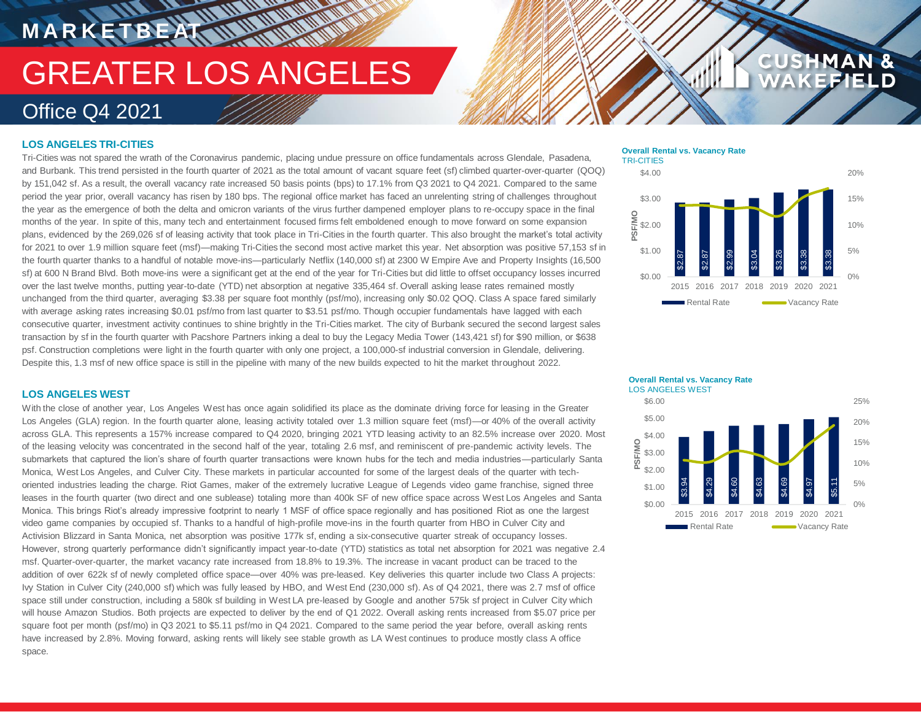**MANARA** 

### **LOS ANGELES TRI-CITIES**

**M A R K E T B E AT**

Tri-Cities was not spared the wrath of the Coronavirus pandemic, placing undue pressure on office fundamentals across Glendale, Pasadena, and Burbank. This trend persisted in the fourth quarter of 2021 as the total amount of vacant square feet (sf) climbed quarter-over-quarter (QOQ) by 151,042 sf. As a result, the overall vacancy rate increased 50 basis points (bps) to 17.1% from Q3 2021 to Q4 2021. Compared to the same period the year prior, overall vacancy has risen by 180 bps. The regional office market has faced an unrelenting string of challenges throughout the year as the emergence of both the delta and omicron variants of the virus further dampened employer plans to re-occupy space in the final months of the year. In spite of this, many tech and entertainment focused firms felt emboldened enough to move forward on some expansion plans, evidenced by the 269,026 sf of leasing activity that took place in Tri-Cities in the fourth quarter. This also brought the market's total activity for 2021 to over 1.9 million square feet (msf)—making Tri-Cities the second most active market this year. Net absorption was positive 57,153 sf in the fourth quarter thanks to a handful of notable move-ins—particularly Netflix (140,000 sf) at 2300 W Empire Ave and Property Insights (16,500 sf) at 600 N Brand Blvd. Both move-ins were a significant get at the end of the year for Tri-Cities but did little to offset occupancy losses incurred over the last twelve months, putting year-to-date (YTD) net absorption at negative 335,464 sf. Overall asking lease rates remained mostly unchanged from the third quarter, averaging \$3.38 per square foot monthly (psf/mo), increasing only \$0.02 QOQ. Class A space fared similarly with average asking rates increasing \$0.01 psf/mo from last quarter to \$3.51 psf/mo. Though occupier fundamentals have lagged with each consecutive quarter, investment activity continues to shine brightly in the Tri-Cities market. The city of Burbank secured the second largest sales transaction by sf in the fourth quarter with Pacshore Partners inking a deal to buy the Legacy Media Tower (143,421 sf) for \$90 million, or \$638 psf. Construction completions were light in the fourth quarter with only one project, a 100,000-sf industrial conversion in Glendale, delivering. Despite this, 1.3 msf of new office space is still in the pipeline with many of the new builds expected to hit the market throughout 2022.

### **LOS ANGELES WEST**

With the close of another year, Los Angeles West has once again solidified its place as the dominate driving force for leasing in the Greater Los Angeles (GLA) region. In the fourth quarter alone, leasing activity totaled over 1.3 million square feet (msf)—or 40% of the overall activity across GLA. This represents a 157% increase compared to Q4 2020, bringing 2021 YTD leasing activity to an 82.5% increase over 2020. Most of the leasing velocity was concentrated in the second half of the year, totaling 2.6 msf, and reminiscent of pre-pandemic activity levels. The submarkets that captured the lion's share of fourth quarter transactions were known hubs for the tech and media industries—particularly Santa Monica, West Los Angeles, and Culver City. These markets in particular accounted for some of the largest deals of the quarter with techoriented industries leading the charge. Riot Games, maker of the extremely lucrative League of Legends video game franchise, signed three leases in the fourth quarter (two direct and one sublease) totaling more than 400k SF of new office space across West Los Angeles and Santa Monica. This brings Riot's already impressive footprint to nearly 1 MSF of office space regionally and has positioned Riot as one the largest video game companies by occupied sf. Thanks to a handful of high-profile move-ins in the fourth quarter from HBO in Culver City and Activision Blizzard in Santa Monica, net absorption was positive 177k sf, ending a six-consecutive quarter streak of occupancy losses. However, strong quarterly performance didn't significantly impact year-to-date (YTD) statistics as total net absorption for 2021 was negative 2.4 msf. Quarter-over-quarter, the market vacancy rate increased from 18.8% to 19.3%. The increase in vacant product can be traced to the addition of over 622k sf of newly completed office space—over 40% was pre-leased. Key deliveries this quarter include two Class A projects: Ivy Station in Culver City (240,000 sf) which was fully leased by HBO, and West End (230,000 sf). As of Q4 2021, there was 2.7 msf of office space still under construction, including a 580k sf building in West LA pre-leased by Google and another 575k sf project in Culver City which will house Amazon Studios. Both projects are expected to deliver by the end of Q1 2022. Overall asking rents increased from \$5.07 price per square foot per month (psf/mo) in Q3 2021 to \$5.11 psf/mo in Q4 2021. Compared to the same period the year before, overall asking rents have increased by 2.8%. Moving forward, asking rents will likely see stable growth as LA West continues to produce mostly class A office space.

#### **Overall Rental vs. Vacancy Rate** TRI-CITIES





### **AN& CUS** HМ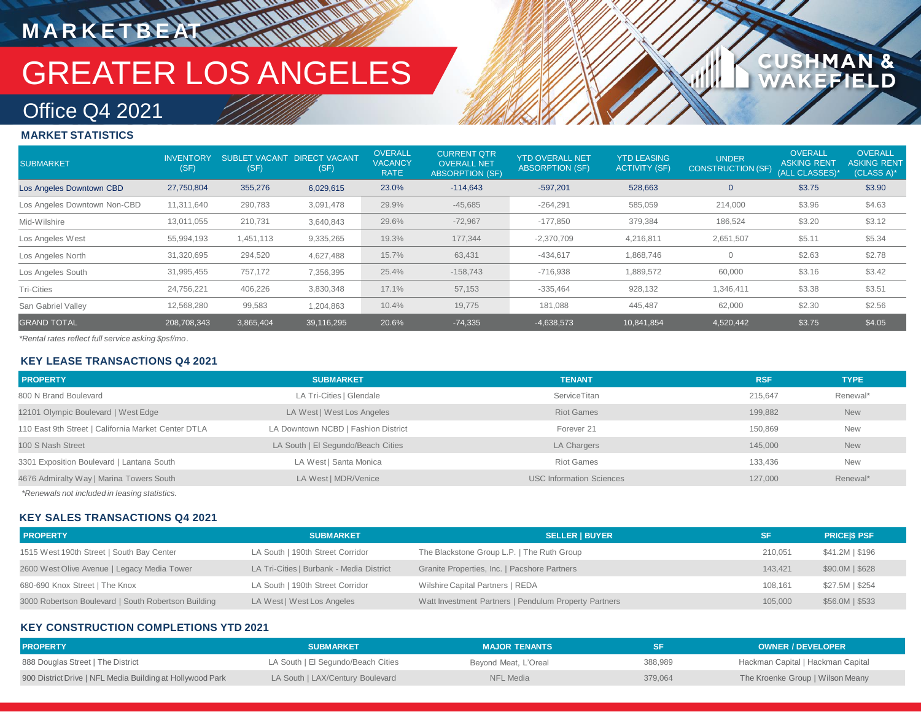# GREATER LOS ANGELES

### Office Q4 2021

**M A R K E T B E AT**

### **MARKET STATISTICS**

| <b>SUBMARKET</b>             | <b>INVENTORY</b><br>(SF) | SUBLET VACANT DIRECT VACANT<br>(SF) | (SF)       | <b>OVERALL</b><br><b>VACANCY</b><br><b>RATE</b> | <b>CURRENT QTR</b><br><b>OVERALL NET</b><br><b>ABSORPTION (SF)</b> | <b>YTD OVERALL NET</b><br><b>ABSORPTION (SF)</b> | <b>YTD LEASING</b><br><b>ACTIVITY (SF)</b> | <b>UNDER</b><br>CONSTRUCTION (SF) | <b>OVERALL</b><br><b>ASKING RENT</b><br>(ALL CLASSES)* | <b>OVERALL</b><br><b>ASKING RENT</b><br>(CLASS A)* |
|------------------------------|--------------------------|-------------------------------------|------------|-------------------------------------------------|--------------------------------------------------------------------|--------------------------------------------------|--------------------------------------------|-----------------------------------|--------------------------------------------------------|----------------------------------------------------|
| Los Angeles Downtown CBD     | 27,750,804               | 355,276                             | 6,029,615  | 23.0%                                           | $-114,643$                                                         | $-597,201$                                       | 528,663                                    | $\mathbf 0$                       | \$3.75                                                 | \$3.90                                             |
| Los Angeles Downtown Non-CBD | 11,311,640               | 290,783                             | 3,091,478  | 29.9%                                           | $-45,685$                                                          | $-264,291$                                       | 585,059                                    | 214,000                           | \$3.96                                                 | \$4.63                                             |
| Mid-Wilshire                 | 13,011,055               | 210,731                             | 3,640,843  | 29.6%                                           | $-72,967$                                                          | $-177,850$                                       | 379,384                                    | 186,524                           | \$3.20                                                 | \$3.12                                             |
| Los Angeles West             | 55,994,193               | 1,451,113                           | 9,335,265  | 19.3%                                           | 177,344                                                            | $-2,370,709$                                     | 4,216,811                                  | 2,651,507                         | \$5.11                                                 | \$5.34                                             |
| Los Angeles North            | 31,320,695               | 294,520                             | 4,627,488  | 15.7%                                           | 63,431                                                             | $-434,617$                                       | 1,868,746                                  | $\mathbf{0}$                      | \$2.63                                                 | \$2.78                                             |
| Los Angeles South            | 31,995,455               | 757,172                             | 7,356,395  | 25.4%                                           | $-158,743$                                                         | $-716,938$                                       | 1,889,572                                  | 60,000                            | \$3.16                                                 | \$3.42                                             |
| <b>Tri-Cities</b>            | 24,756,221               | 406,226                             | 3,830,348  | 17.1%                                           | 57,153                                                             | $-335,464$                                       | 928,132                                    | 1,346,411                         | \$3.38                                                 | \$3.51                                             |
| San Gabriel Valley           | 12,568,280               | 99,583                              | 1,204,863  | 10.4%                                           | 19,775                                                             | 181,088                                          | 445,487                                    | 62,000                            | \$2.30                                                 | \$2.56                                             |
| <b>GRAND TOTAL</b>           | 208,708,343              | 3,865,404                           | 39,116,295 | 20.6%                                           | $-74,335$                                                          | $-4,638,573$                                     | 10,841,854                                 | 4,520,442                         | \$3.75                                                 | \$4.05                                             |

1AN &<br>FIELD

**CUSHM** 

*\*Rental rates reflect full service asking \$psf/mo.*

### **KEY LEASE TRANSACTIONS Q4 2021**

| <b>PROPERTY</b>                                     | <b>SUBMARKET</b>                    | <b>TENANT</b>                   | <b>RSF</b> | <b>TYPE</b> |
|-----------------------------------------------------|-------------------------------------|---------------------------------|------------|-------------|
| 800 N Brand Boulevard                               | LA Tri-Cities   Glendale            | ServiceTitan                    | 215.647    | Renewal*    |
| 12101 Olympic Boulevard   West Edge                 | LA West   West Los Angeles          | <b>Riot Games</b>               | 199.882    | <b>New</b>  |
| 110 East 9th Street   California Market Center DTLA | LA Downtown NCBD   Fashion District | Forever 21                      | 150.869    | <b>New</b>  |
| 100 S Nash Street                                   | LA South   El Segundo/Beach Cities  | LA Chargers                     | 145,000    | <b>New</b>  |
| 3301 Exposition Boulevard   Lantana South           | LA West   Santa Monica              | <b>Riot Games</b>               | 133.436    | <b>New</b>  |
| 4676 Admiralty Way   Marina Towers South            | LA West   MDR/Venice                | <b>USC Information Sciences</b> | 127,000    | Renewal*    |
|                                                     |                                     |                                 |            |             |

*\*Renewals not included in leasing statistics.*

### **KEY SALES TRANSACTIONS Q4 2021**

| <b>PROPERTY</b>                                     | <b>SUBMARKET</b>                         | <b>SELLER   BUYER</b>                                 | <b>SF</b> | <b>PRICESS PSF</b> |
|-----------------------------------------------------|------------------------------------------|-------------------------------------------------------|-----------|--------------------|
| 1515 West 190th Street   South Bay Center           | LA South   190th Street Corridor         | The Blackstone Group L.P.   The Ruth Group            | 210,051   | \$41.2M   \$196    |
| 2600 West Olive Avenue   Legacy Media Tower         | LA Tri-Cities   Burbank - Media District | Granite Properties, Inc.   Pacshore Partners          | 143.421   | \$90.0M   \$628    |
| 680-690 Knox Street   The Knox                      | LA South   190th Street Corridor         | Wilshire Capital Partners   REDA                      | 108.161   | \$27.5M \$254      |
| 3000 Robertson Boulevard   South Robertson Building | LA West   West Los Angeles               | Watt Investment Partners   Pendulum Property Partners | 105,000   | $$56.0M$$   \$533  |

### **KEY CONSTRUCTION COMPLETIONS YTD 2021**

| <b>PROPERTY</b>                                           | <b>SUBMARKET</b>                   | <b>MAJOR TENANTS</b> |         | <b>OWNER / DEVELOPER</b>          |
|-----------------------------------------------------------|------------------------------------|----------------------|---------|-----------------------------------|
| 888 Douglas Street   The District                         | LA South   El Segundo/Beach Cities | Bevond Meat, L'Oreal | 388,989 | Hackman Capital   Hackman Capital |
| 900 District Drive   NFL Media Building at Hollywood Park | LA South   LAX/Century Boulevard   | NFL Media            | 379,064 | The Kroenke Group   Wilson Meany  |